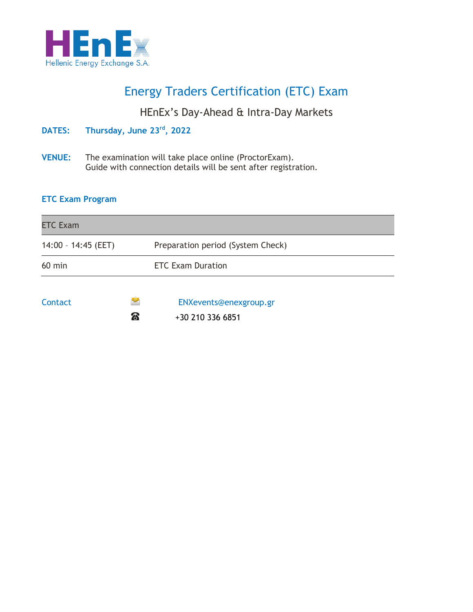

# Energy Traders Certification (ETC) Exam

### HEnEx's Day-Ahead & Intra-Day Markets

**DATES: Thursday, June 23 rd , 2022**

**VENUE:** The examination will take place online (ProctorExam). Guide with connection details will be sent after registration.

#### **ETC Exam Program**

| <b>ETC Exam</b>       |          |                                   |
|-----------------------|----------|-----------------------------------|
| $14:00 - 14:45$ (EET) |          | Preparation period (System Check) |
| $60$ min              |          | <b>ETC Exam Duration</b>          |
| Contact               | <b>@</b> | ENXevents@enexgroup.gr            |

 $\bullet$  +30 210 336 6851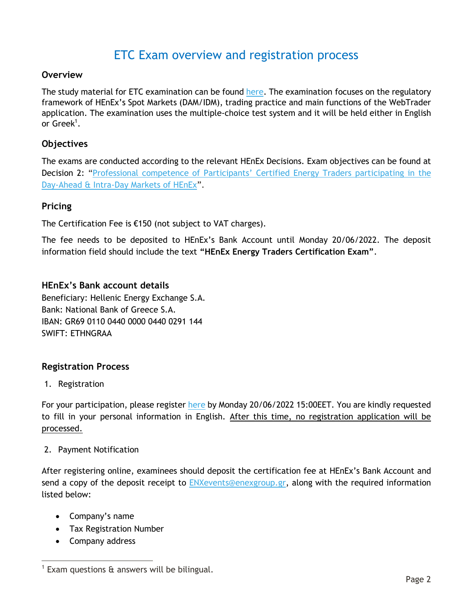## ETC Exam overview and registration process

#### **Overview**

The study material for ETC examination can be found [here.](https://www.enexgroup.gr/web/guest/training) The examination focuses on the regulatory framework of HEnEx's Spot Markets (DAM/IDM), trading practice and main functions of the WebTrader application. The examination uses the multiple-choice test system and it will be held either in English or Greek<sup>1</sup>.

#### **Objectives**

The exams are conducted according to the relevant HEnEx Decisions. Exam objectives can be found at Decision 2: ["Professional competence of Participants' Certified Energ](https://www.enexgroup.gr/documents/20126/144557/20200507_Decision_02_EN.pdf)y Traders participating in the [Day-Ahead & Intra-Day Markets of HEnEx](https://www.enexgroup.gr/documents/20126/144557/20200507_Decision_02_EN.pdf)".

#### **Pricing**

The Certification Fee is €150 (not subject to VAT charges).

The fee needs to be deposited to HEnEx's Bank Account until Monday 20/06/2022. The deposit information field should include the text **"HEnEx Energy Traders Certification Exam"**.

#### **HEnEx's Bank account details**

Beneficiary: Hellenic Energy Exchange S.A. Bank: National Bank of Greece S.A. IBAN: GR69 0110 0440 0000 0440 0291 144 SWIFT: ETHNGRAA

#### **Registration Process**

1. Registration

For your participation, please register [here](https://www.enexgroup.gr/el/web/guest/etc-exams-registration-form) by Monday 20/06/2022 15:00EET. You are kindly requested to fill in your personal information in English. After this time, no registration application will be processed.

#### 2. Payment Notification

After registering online, examinees should deposit the certification fee at HEnEx's Bank Account and send a copy of the deposit receipt to [ENXevents@enexgroup.gr,](mailto:ENXevents@enexgroup.gr) along with the required information listed below:

- Company's name
- Tax Registration Number
- Company address

<sup>1</sup> Exam questions & answers will be bilingual.